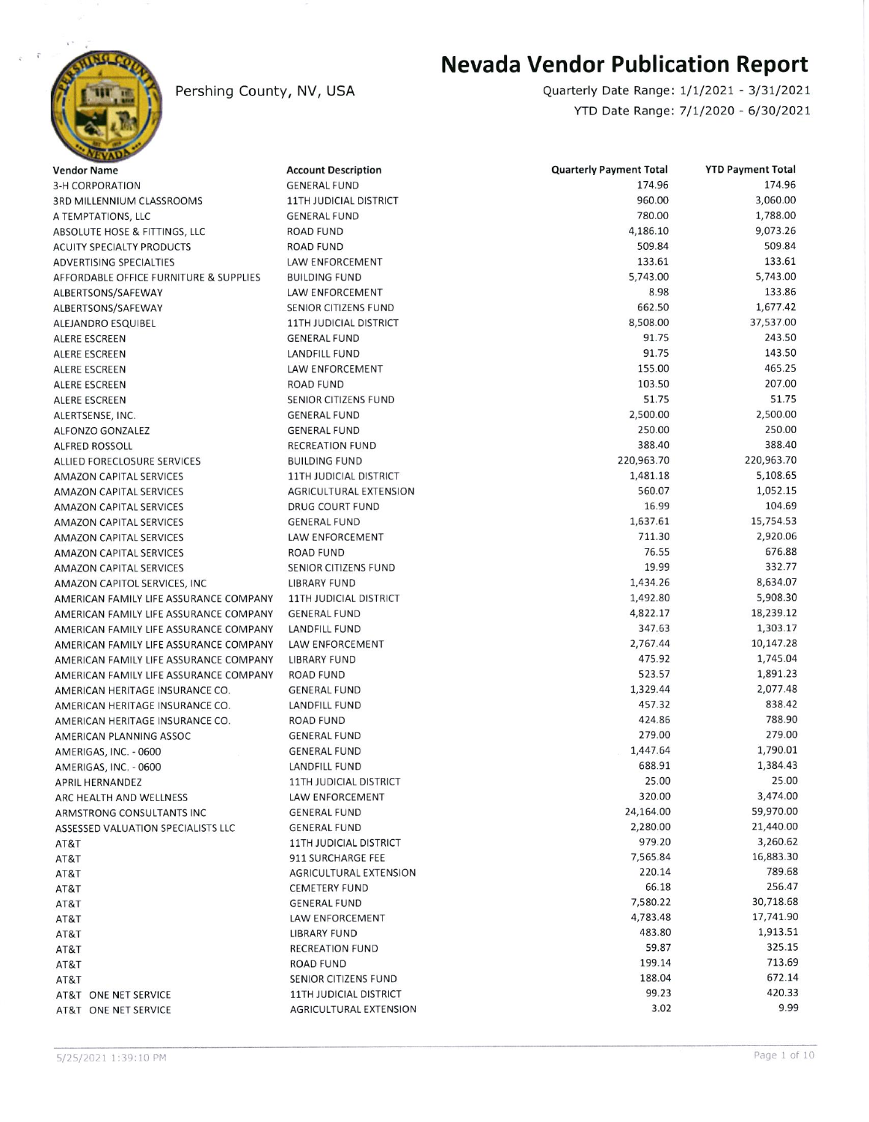

## Pershing County, NV, USA

## Nevada Vendor Publication Report

YTD Date Range: 7/1/2020 - 6/30/2021 Quarterly Date Range: 1/1/2021 - 3/31/2021

| <b>Vendor Name</b>                     | <b>Account Description</b>    | <b>Quarterly Payment Total</b> | <b>YTD Payment Total</b> |
|----------------------------------------|-------------------------------|--------------------------------|--------------------------|
| <b>3-H CORPORATION</b>                 | <b>GENERAL FUND</b>           | 174.96                         | 174.96                   |
| 3RD MILLENNIUM CLASSROOMS              | <b>11TH JUDICIAL DISTRICT</b> | 960.00                         | 3,060.00                 |
| A TEMPTATIONS, LLC                     | <b>GENERAL FUND</b>           | 780.00                         | 1,788.00                 |
| ABSOLUTE HOSE & FITTINGS, LLC          | <b>ROAD FUND</b>              | 4,186.10                       | 9,073.26                 |
| <b>ACUITY SPECIALTY PRODUCTS</b>       | <b>ROAD FUND</b>              | 509.84                         | 509.84                   |
| <b>ADVERTISING SPECIALTIES</b>         | <b>LAW ENFORCEMENT</b>        | 133.61                         | 133.61                   |
| AFFORDABLE OFFICE FURNITURE & SUPPLIES | <b>BUILDING FUND</b>          | 5,743.00                       | 5,743.00                 |
| ALBERTSONS/SAFEWAY                     | LAW ENFORCEMENT               | 8.98                           | 133.86                   |
| ALBERTSONS/SAFEWAY                     | SENIOR CITIZENS FUND          | 662.50                         | 1,677.42                 |
| ALEJANDRO ESQUIBEL                     | <b>11TH JUDICIAL DISTRICT</b> | 8,508.00                       | 37,537.00                |
| <b>ALERE ESCREEN</b>                   | <b>GENERAL FUND</b>           | 91.75                          | 243.50                   |
| ALERE ESCREEN                          | LANDFILL FUND                 | 91.75                          | 143.50                   |
| <b>ALERE ESCREEN</b>                   | LAW ENFORCEMENT               | 155.00                         | 465.25                   |
| ALERE ESCREEN                          | <b>ROAD FUND</b>              | 103.50                         | 207.00                   |
| <b>ALERE ESCREEN</b>                   | SENIOR CITIZENS FUND          | 51.75                          | 51.75                    |
| ALERTSENSE, INC.                       | <b>GENERAL FUND</b>           | 2,500.00                       | 2,500.00                 |
| <b>ALFONZO GONZALEZ</b>                | <b>GENERAL FUND</b>           | 250.00                         | 250.00                   |
| <b>ALFRED ROSSOLL</b>                  | <b>RECREATION FUND</b>        | 388.40                         | 388.40                   |
| ALLIED FORECLOSURE SERVICES            | <b>BUILDING FUND</b>          | 220,963.70                     | 220,963.70               |
| <b>AMAZON CAPITAL SERVICES</b>         | <b>11TH JUDICIAL DISTRICT</b> | 1,481.18                       | 5,108.65                 |
| AMAZON CAPITAL SERVICES                | AGRICULTURAL EXTENSION        | 560.07                         | 1,052.15                 |
| <b>AMAZON CAPITAL SERVICES</b>         | DRUG COURT FUND               | 16.99                          | 104.69                   |
| <b>AMAZON CAPITAL SERVICES</b>         | <b>GENERAL FUND</b>           | 1,637.61                       | 15,754.53                |
| <b>AMAZON CAPITAL SERVICES</b>         | LAW ENFORCEMENT               | 711.30                         | 2,920.06                 |
| <b>AMAZON CAPITAL SERVICES</b>         | ROAD FUND                     | 76.55                          | 676.88                   |
| <b>AMAZON CAPITAL SERVICES</b>         | SENIOR CITIZENS FUND          | 19.99                          | 332.77                   |
| AMAZON CAPITOL SERVICES, INC           | <b>LIBRARY FUND</b>           | 1,434.26                       | 8,634.07                 |
| AMERICAN FAMILY LIFE ASSURANCE COMPANY | <b>11TH JUDICIAL DISTRICT</b> | 1,492.80                       | 5,908.30                 |
| AMERICAN FAMILY LIFE ASSURANCE COMPANY | <b>GENERAL FUND</b>           | 4,822.17                       | 18,239.12                |
| AMERICAN FAMILY LIFE ASSURANCE COMPANY | <b>LANDFILL FUND</b>          | 347.63                         | 1,303.17                 |
| AMERICAN FAMILY LIFE ASSURANCE COMPANY | <b>LAW ENFORCEMENT</b>        | 2,767.44                       | 10,147.28                |
| AMERICAN FAMILY LIFE ASSURANCE COMPANY | <b>LIBRARY FUND</b>           | 475.92                         | 1,745.04                 |
| AMERICAN FAMILY LIFE ASSURANCE COMPANY | <b>ROAD FUND</b>              | 523.57                         | 1,891.23                 |
| AMERICAN HERITAGE INSURANCE CO.        | <b>GENERAL FUND</b>           | 1,329.44                       | 2,077.48                 |
| AMERICAN HERITAGE INSURANCE CO.        | <b>LANDFILL FUND</b>          | 457.32                         | 838.42                   |
| AMERICAN HERITAGE INSURANCE CO.        | <b>ROAD FUND</b>              | 424.86                         | 788.90                   |
| AMERICAN PLANNING ASSOC                | <b>GENERAL FUND</b>           | 279.00                         | 279.00                   |
| AMERIGAS, INC. - 0600                  | <b>GENERAL FUND</b>           | 1,447.64                       | 1,790.01                 |
| AMERIGAS, INC. - 0600                  | <b>LANDFILL FUND</b>          | 688.91                         | 1,384.43                 |
| APRIL HERNANDEZ                        | <b>11TH JUDICIAL DISTRICT</b> | 25.00                          | 25.00                    |
| ARC HEALTH AND WELLNESS                | LAW ENFORCEMENT               | 320.00                         | 3,474.00                 |
| ARMSTRONG CONSULTANTS INC              | <b>GENERAL FUND</b>           | 24,164.00                      | 59,970.00                |
| ASSESSED VALUATION SPECIALISTS LLC     | <b>GENERAL FUND</b>           | 2,280.00                       | 21,440.00                |
| AT&T                                   | <b>11TH JUDICIAL DISTRICT</b> | 979.20                         | 3,260.62                 |
| AT&T                                   | 911 SURCHARGE FEE             | 7,565.84                       | 16,883.30                |
| AT&T                                   | AGRICULTURAL EXTENSION        | 220.14                         | 789.68                   |
| AT&T                                   | <b>CEMETERY FUND</b>          | 66.18                          | 256.47                   |
| AT&T                                   | <b>GENERAL FUND</b>           | 7,580.22                       | 30,718.68                |
| AT&T                                   | LAW ENFORCEMENT               | 4,783.48                       | 17,741.90                |
| AT&T                                   | <b>LIBRARY FUND</b>           | 483.80                         | 1,913.51                 |
| AT&T                                   | <b>RECREATION FUND</b>        | 59.87                          | 325.15                   |
| AT&T                                   | ROAD FUND                     | 199.14                         | 713.69                   |
| AT&T                                   | SENIOR CITIZENS FUND          | 188.04                         | 672.14                   |
| AT&T ONE NET SERVICE                   | <b>11TH JUDICIAL DISTRICT</b> | 99.23                          | 420.33                   |
| AT&T ONE NET SERVICE                   | AGRICULTURAL EXTENSION        | 3.02                           | 9.99                     |
|                                        |                               |                                |                          |